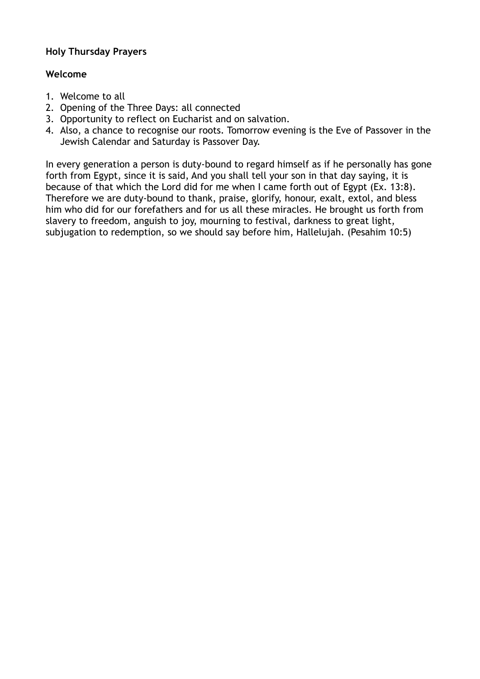# **Holy Thursday Prayers**

# **Welcome**

- 1. Welcome to all
- 2. Opening of the Three Days: all connected
- 3. Opportunity to reflect on Eucharist and on salvation.
- 4. Also, a chance to recognise our roots. Tomorrow evening is the Eve of Passover in the Jewish Calendar and Saturday is Passover Day.

In every generation a person is duty-bound to regard himself as if he personally has gone forth from Egypt, since it is said, And you shall tell your son in that day saying, it is because of that which the Lord did for me when I came forth out of Egypt (Ex. 13:8). Therefore we are duty-bound to thank, praise, glorify, honour, exalt, extol, and bless him who did for our forefathers and for us all these miracles. He brought us forth from slavery to freedom, anguish to joy, mourning to festival, darkness to great light, subjugation to redemption, so we should say before him, Hallelujah. (Pesahim 10:5)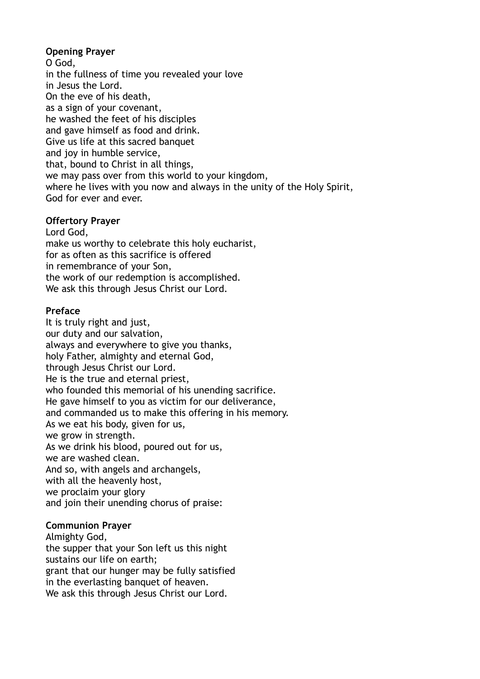# **Opening Prayer**

O God, in the fullness of time you revealed your love in Jesus the Lord. On the eve of his death, as a sign of your covenant, he washed the feet of his disciples and gave himself as food and drink. Give us life at this sacred banquet and joy in humble service, that, bound to Christ in all things, we may pass over from this world to your kingdom, where he lives with you now and always in the unity of the Holy Spirit, God for ever and ever.

## **Offertory Prayer**

Lord God, make us worthy to celebrate this holy eucharist, for as often as this sacrifice is offered in remembrance of your Son, the work of our redemption is accomplished. We ask this through Jesus Christ our Lord.

## **Preface**

It is truly right and just, our duty and our salvation, always and everywhere to give you thanks, holy Father, almighty and eternal God, through Jesus Christ our Lord. He is the true and eternal priest, who founded this memorial of his unending sacrifice. He gave himself to you as victim for our deliverance, and commanded us to make this offering in his memory. As we eat his body, given for us, we grow in strength. As we drink his blood, poured out for us, we are washed clean. And so, with angels and archangels, with all the heavenly host, we proclaim your glory and join their unending chorus of praise:

# **Communion Prayer**

Almighty God, the supper that your Son left us this night sustains our life on earth; grant that our hunger may be fully satisfied in the everlasting banquet of heaven. We ask this through Jesus Christ our Lord.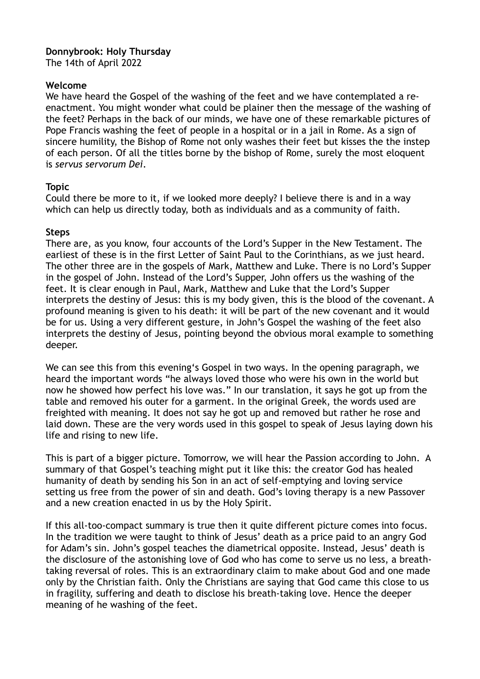#### **Donnybrook: Holy Thursday** The 14th of April 2022

#### **Welcome**

We have heard the Gospel of the washing of the feet and we have contemplated a reenactment. You might wonder what could be plainer then the message of the washing of the feet? Perhaps in the back of our minds, we have one of these remarkable pictures of Pope Francis washing the feet of people in a hospital or in a jail in Rome. As a sign of sincere humility, the Bishop of Rome not only washes their feet but kisses the the instep of each person. Of all the titles borne by the bishop of Rome, surely the most eloquent is *servus servorum Dei*.

#### **Topic**

Could there be more to it, if we looked more deeply? I believe there is and in a way which can help us directly today, both as individuals and as a community of faith.

#### **Steps**

There are, as you know, four accounts of the Lord's Supper in the New Testament. The earliest of these is in the first Letter of Saint Paul to the Corinthians, as we just heard. The other three are in the gospels of Mark, Matthew and Luke. There is no Lord's Supper in the gospel of John. Instead of the Lord's Supper, John offers us the washing of the feet. It is clear enough in Paul, Mark, Matthew and Luke that the Lord's Supper interprets the destiny of Jesus: this is my body given, this is the blood of the covenant. A profound meaning is given to his death: it will be part of the new covenant and it would be for us. Using a very different gesture, in John's Gospel the washing of the feet also interprets the destiny of Jesus, pointing beyond the obvious moral example to something deeper.

We can see this from this evening's Gospel in two ways. In the opening paragraph, we heard the important words "he always loved those who were his own in the world but now he showed how perfect his love was." In our translation, it says he got up from the table and removed his outer for a garment. In the original Greek, the words used are freighted with meaning. It does not say he got up and removed but rather he rose and laid down. These are the very words used in this gospel to speak of Jesus laying down his life and rising to new life.

This is part of a bigger picture. Tomorrow, we will hear the Passion according to John. A summary of that Gospel's teaching might put it like this: the creator God has healed humanity of death by sending his Son in an act of self-emptying and loving service setting us free from the power of sin and death. God's loving therapy is a new Passover and a new creation enacted in us by the Holy Spirit.

If this all-too-compact summary is true then it quite different picture comes into focus. In the tradition we were taught to think of Jesus' death as a price paid to an angry God for Adam's sin. John's gospel teaches the diametrical opposite. Instead, Jesus' death is the disclosure of the astonishing love of God who has come to serve us no less, a breathtaking reversal of roles. This is an extraordinary claim to make about God and one made only by the Christian faith. Only the Christians are saying that God came this close to us in fragility, suffering and death to disclose his breath-taking love. Hence the deeper meaning of he washing of the feet.